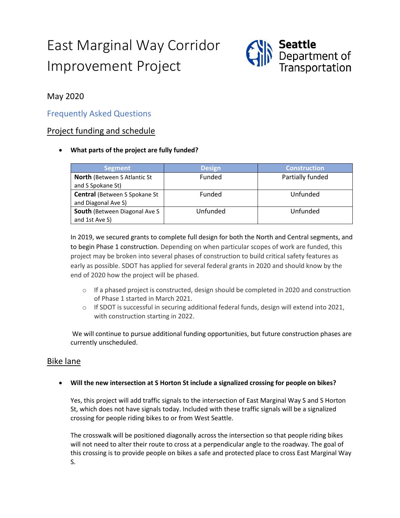# East Marginal Way Corridor Improvement Project



# May 2020

# Frequently Asked Questions

## Project funding and schedule

## • **What parts of the project are fully funded?**

| <b>Segment</b>                                              | <b>Design</b> | <b>Construction</b> |
|-------------------------------------------------------------|---------------|---------------------|
| <b>North (Between S Atlantic St</b> )<br>and S Spokane St)  | Funded        | Partially funded    |
| <b>Central (Between S Spokane St</b><br>and Diagonal Ave S) | Funded        | Unfunded            |
| South (Between Diagonal Ave S<br>and 1st Ave S)             | Unfunded      | Unfunded            |

In 2019, we secured grants to complete full design for both the North and Central segments, and to begin Phase 1 construction. Depending on when particular scopes of work are funded, this project may be broken into several phases of construction to build critical safety features as early as possible. SDOT has applied for several federal grants in 2020 and should know by the end of 2020 how the project will be phased.

- $\circ$  If a phased project is constructed, design should be completed in 2020 and construction of Phase 1 started in March 2021.
- $\circ$  If SDOT is successful in securing additional federal funds, design will extend into 2021, with construction starting in 2022.

We will continue to pursue additional funding opportunities, but future construction phases are currently unscheduled.

## Bike lane

• **Will the new intersection at S Horton St include a signalized crossing for people on bikes?**

Yes, this project will add traffic signals to the intersection of East Marginal Way S and S Horton St, which does not have signals today. Included with these traffic signals will be a signalized crossing for people riding bikes to or from West Seattle.

The crosswalk will be positioned diagonally across the intersection so that people riding bikes will not need to alter their route to cross at a perpendicular angle to the roadway. The goal of this crossing is to provide people on bikes a safe and protected place to cross East Marginal Way S.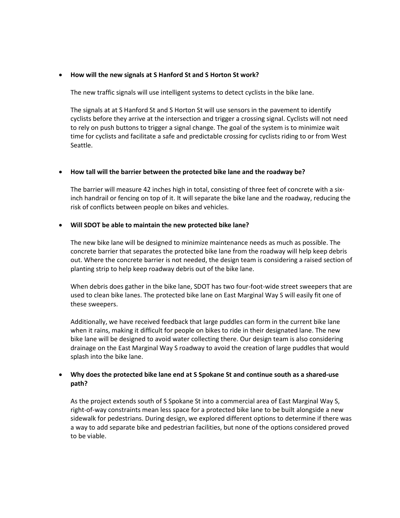### • **How will the new signals at S Hanford St and S Horton St work?**

The new traffic signals will use intelligent systems to detect cyclists in the bike lane.

The signals at at S Hanford St and S Horton St will use sensors in the pavement to identify cyclists before they arrive at the intersection and trigger a crossing signal. Cyclists will not need to rely on push buttons to trigger a signal change. The goal of the system is to minimize wait time for cyclists and facilitate a safe and predictable crossing for cyclists riding to or from West Seattle.

### • **How tall will the barrier between the protected bike lane and the roadway be?**

The barrier will measure 42 inches high in total, consisting of three feet of concrete with a sixinch handrail or fencing on top of it. It will separate the bike lane and the roadway, reducing the risk of conflicts between people on bikes and vehicles.

### • **Will SDOT be able to maintain the new protected bike lane?**

The new bike lane will be designed to minimize maintenance needs as much as possible. The concrete barrier that separates the protected bike lane from the roadway will help keep debris out. Where the concrete barrier is not needed, the design team is considering a raised section of planting strip to help keep roadway debris out of the bike lane.

When debris does gather in the bike lane, SDOT has two four-foot-wide street sweepers that are used to clean bike lanes. The protected bike lane on East Marginal Way S will easily fit one of these sweepers.

Additionally, we have received feedback that large puddles can form in the current bike lane when it rains, making it difficult for people on bikes to ride in their designated lane. The new bike lane will be designed to avoid water collecting there. Our design team is also considering drainage on the East Marginal Way S roadway to avoid the creation of large puddles that would splash into the bike lane.

## • **Why does the protected bike lane end at S Spokane St and continue south as a shared-use path?**

As the project extends south of S Spokane St into a commercial area of East Marginal Way S, right-of-way constraints mean less space for a protected bike lane to be built alongside a new sidewalk for pedestrians. During design, we explored different options to determine if there was a way to add separate bike and pedestrian facilities, but none of the options considered proved to be viable.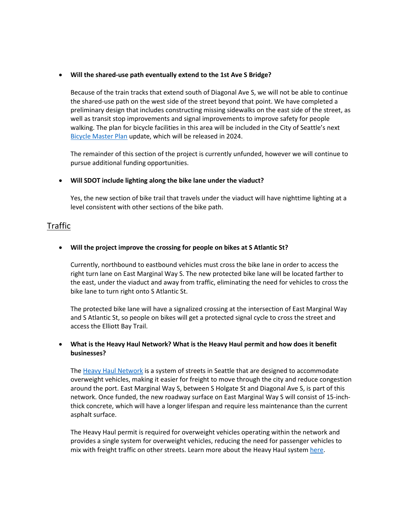## • **Will the shared-use path eventually extend to the 1st Ave S Bridge?**

Because of the train tracks that extend south of Diagonal Ave S, we will not be able to continue the shared-use path on the west side of the street beyond that point. We have completed a preliminary design that includes constructing missing sidewalks on the east side of the street, as well as transit stop improvements and signal improvements to improve safety for people walking. The plan for bicycle facilities in this area will be included in the City of Seattle's next [Bicycle Master Plan](https://www.seattle.gov/transportation/document-library/citywide-plans/modal-plans/bicycle-master-plan) update, which will be released in 2024.

The remainder of this section of the project is currently unfunded, however we will continue to pursue additional funding opportunities.

## • **Will SDOT include lighting along the bike lane under the viaduct?**

Yes, the new section of bike trail that travels under the viaduct will have nighttime lighting at a level consistent with other sections of the bike path.

## Traffic

## • **Will the project improve the crossing for people on bikes at S Atlantic St?**

Currently, northbound to eastbound vehicles must cross the bike lane in order to access the right turn lane on East Marginal Way S. The new protected bike lane will be located farther to the east, under the viaduct and away from traffic, eliminating the need for vehicles to cross the bike lane to turn right onto S Atlantic St.

The protected bike lane will have a signalized crossing at the intersection of East Marginal Way and S Atlantic St, so people on bikes will get a protected signal cycle to cross the street and access the Elliott Bay Trail.

## • **What is the Heavy Haul Network? What is the Heavy Haul permit and how does it benefit businesses?**

The [Heavy Haul Network](https://www.seattle.gov/Documents/Departments/SDOT/Services/Parking/Proposed_HHC_MAP_15.pdf) is a system of streets in Seattle that are designed to accommodate overweight vehicles, making it easier for freight to move through the city and reduce congestion around the port. East Marginal Way S, between S Holgate St and Diagonal Ave S, is part of this network. Once funded, the new roadway surface on East Marginal Way S will consist of 15-inchthick concrete, which will have a longer lifespan and require less maintenance than the current asphalt surface.

The Heavy Haul permit is required for overweight vehicles operating within the network and provides a single system for overweight vehicles, reducing the need for passenger vehicles to mix with freight traffic on other streets. Learn more about the Heavy Haul syste[m here.](https://www.seattle.gov/transportation/permits-and-services/permits/parking-permits/heavy-haul-network-permits)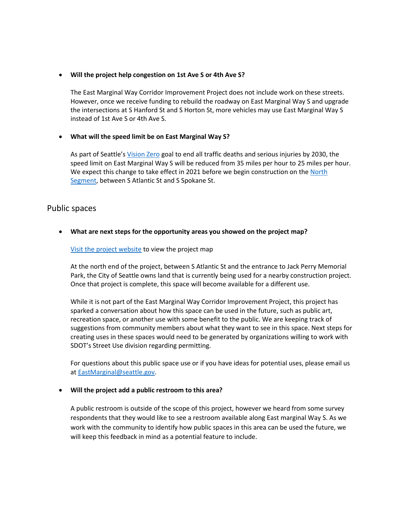## • **Will the project help congestion on 1st Ave S or 4th Ave S?**

The East Marginal Way Corridor Improvement Project does not include work on these streets. However, once we receive funding to rebuild the roadway on East Marginal Way S and upgrade the intersections at S Hanford St and S Horton St, more vehicles may use East Marginal Way S instead of 1st Ave S or 4th Ave S.

## • **What will the speed limit be on East Marginal Way S?**

As part of Seattle's [Vision Zero](https://www.seattle.gov/visionzero) goal to end all traffic deaths and serious injuries by 2030, the speed limit on East Marginal Way S will be reduced from 35 miles per hour to 25 miles per hour. We expect this change to take effect in 2021 before we begin construction on the North [Segment,](https://www.seattle.gov/transportation/projects-and-programs/programs/freight-program/east-marginal-way-corridor-improvement-project#North%20Segment) between S Atlantic St and S Spokane St.

## Public spaces

## • **What are next steps for the opportunity areas you showed on the project map?**

### Visit [the project website](https://www.seattle.gov/transportation/projects-and-programs/programs/freight-program/east-marginal-way-corridor-improvement-project) to view the project map

At the north end of the project, between S Atlantic St and the entrance to Jack Perry Memorial Park, the City of Seattle owns land that is currently being used for a nearby construction project. Once that project is complete, this space will become available for a different use.

While it is not part of the East Marginal Way Corridor Improvement Project, this project has sparked a conversation about how this space can be used in the future, such as public art, recreation space, or another use with some benefit to the public. We are keeping track of suggestions from community members about what they want to see in this space. Next steps for creating uses in these spaces would need to be generated by organizations willing to work with SDOT's Street Use division regarding permitting.

For questions about this public space use or if you have ideas for potential uses, please email us a[t EastMarginal@seattle.gov.](mailto:EastMarginal@seattle.gov)

## • **Will the project add a public restroom to this area?**

A public restroom is outside of the scope of this project, however we heard from some survey respondents that they would like to see a restroom available along East marginal Way S. As we work with the community to identify how public spaces in this area can be used the future, we will keep this feedback in mind as a potential feature to include.